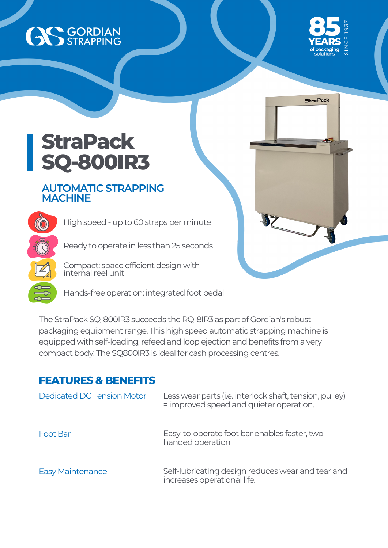## AS GORDIAN



StraPack

## **StraPack SQ-800IR3**

**CO** 

## **AUTOMATIC STRAPPING MACHINE**

High speed - up to 60 straps per minute

Ready to operate in less than 25 seconds

Compact: space efficient design with internal reel unit

Hands-free operation: integrated foot pedal

The StraPack SQ-800IR3 succeeds the RQ-8IR3 as part of Gordian's robust packaging equipment range. This high speed automatic strapping machine is equipped with self-loading, refeed and loop ejection and benefits from a very compact body. The SQ800IR3 is ideal for cash processing centres.

## **FEATURES & BENEFITS**

| <b>Dedicated DC Tension Motor</b> | Less wear parts (i.e. interlock shaft, tension, pulley)<br>= improved speed and quieter operation. |
|-----------------------------------|----------------------------------------------------------------------------------------------------|
| <b>Foot Bar</b>                   | Easy-to-operate foot bar enables faster, two-<br>handed operation                                  |
| <b>Easy Maintenance</b>           | Self-lubricating design reduces wear and tear and<br>increases operational life.                   |